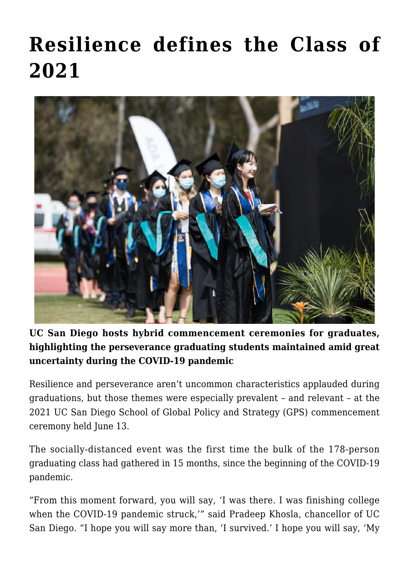## **[Resilience defines the Class of](https://gpsnews.ucsd.edu/resilience-defines-the-class-of-2021/) [2021](https://gpsnews.ucsd.edu/resilience-defines-the-class-of-2021/)**



## **UC San Diego hosts hybrid commencement ceremonies for graduates, highlighting the perseverance graduating students maintained amid great uncertainty during the COVID-19 pandemic**

Resilience and perseverance aren't uncommon characteristics applauded during graduations, but those themes were especially prevalent – and relevant – at the 2021 UC San Diego School of Global Policy and Strategy (GPS) commencement ceremony held June 13.

The socially-distanced event was the first time the bulk of the 178-person graduating class had gathered in 15 months, since the beginning of the COVID-19 pandemic.

"From this moment forward, you will say, 'I was there. I was finishing college when the COVID-19 pandemic struck,'" said Pradeep Khosla, chancellor of UC San Diego. "I hope you will say more than, 'I survived.' I hope you will say, 'My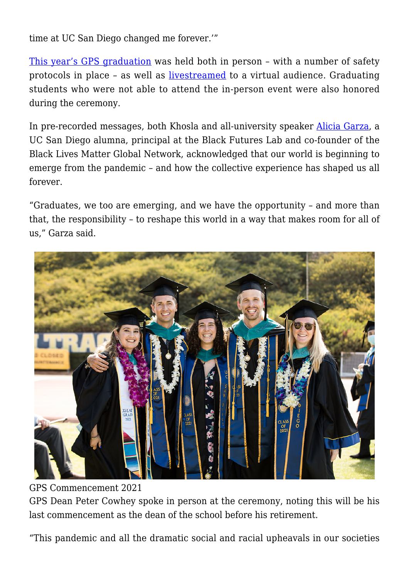time at UC San Diego changed me forever.'"

[This year's GPS graduation](https://commencement.ucsd.edu/pdf/programs/2021/GPS-Program-Schedule-6-13.pdf) was held both in person – with a number of safety protocols in place – as well as [livestreamed](http://commencement.ucsd.edu) to a virtual audience. Graduating students who were not able to attend the in-person event were also honored during the ceremony.

In pre-recorded messages, both Khosla and all-university speaker [Alicia Garza](https://ucsdnews.ucsd.edu/feature/alumna-alicia-garza-to-deliver-commencement-keynote), a UC San Diego alumna, principal at the Black Futures Lab and co-founder of the Black Lives Matter Global Network, acknowledged that our world is beginning to emerge from the pandemic – and how the collective experience has shaped us all forever.

"Graduates, we too are emerging, and we have the opportunity – and more than that, the responsibility – to reshape this world in a way that makes room for all of us," Garza said.



GPS Commencement 2021 GPS Dean Peter Cowhey spoke in person at the ceremony, noting this will be his last commencement as the dean of the school before his retirement.

"This pandemic and all the dramatic social and racial upheavals in our societies